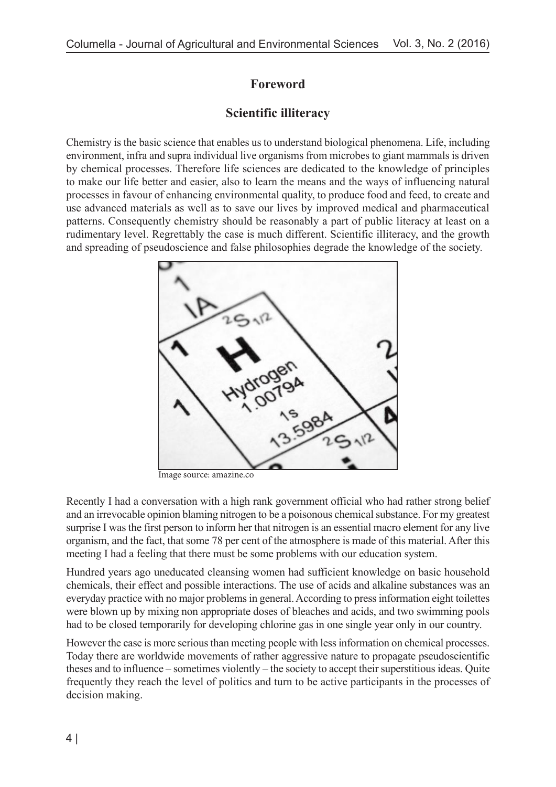## **Foreword**

## **Scientific illiteracy**

Chemistry is the basic science that enables us to understand biological phenomena. Life, including environment, infra and supra individual live organisms from microbes to giant mammals is driven by chemical processes. Therefore life sciences are dedicated to the knowledge of principles to make our life better and easier, also to learn the means and the ways of influencing natural processes in favour of enhancing environmental quality, to produce food and feed, to create and use advanced materials as well as to save our lives by improved medical and pharmaceutical patterns. Consequently chemistry should be reasonably a part of public literacy at least on a rudimentary level. Regrettably the case is much different. Scientific illiteracy, and the growth and spreading of pseudoscience and false philosophies degrade the knowledge of the society.



Image source: amazine.co

Recently I had a conversation with a high rank government official who had rather strong belief and an irrevocable opinion blaming nitrogen to be a poisonous chemical substance. For my greatest surprise I was the first person to inform her that nitrogen is an essential macro element for any live organism, and the fact, that some 78 per cent of the atmosphere is made of this material. After this meeting I had a feeling that there must be some problems with our education system.

Hundred years ago uneducated cleansing women had sufficient knowledge on basic household chemicals, their effect and possible interactions. The use of acids and alkaline substances was an everyday practice with no major problems in general. According to press information eight toilettes were blown up by mixing non appropriate doses of bleaches and acids, and two swimming pools had to be closed temporarily for developing chlorine gas in one single year only in our country.

However the case is more serious than meeting people with less information on chemical processes. Today there are worldwide movements of rather aggressive nature to propagate pseudoscientific theses and to influence – sometimes violently – the society to accept their superstitious ideas. Quite frequently they reach the level of politics and turn to be active participants in the processes of decision making.